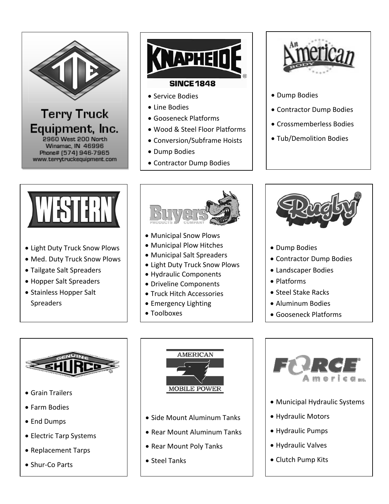

## **Terry Truck** Equipment, Inc. 2960 West 200 North Winamac, IN 46996

Phone# (574) 946-7965 www.terrytruckequipment.com



## • Service Bodies

- Line Bodies
- Gooseneck Platforms
- Wood & Steel Floor Platforms
- Conversion/Subframe Hoists
- Dump Bodies
- Contractor Dump Bodies



- Dump Bodies
- Contractor Dump Bodies
- Crossmemberless Bodies
- Tub/Demolition Bodies



- Light Duty Truck Snow Plows
- Med. Duty Truck Snow Plows
- Tailgate Salt Spreaders
- Hopper Salt Spreaders
- Stainless Hopper Salt Spreaders



- Municipal Snow Plows
- Municipal Plow Hitches
- Municipal Salt Spreaders
- Light Duty Truck Snow Plows
- Hydraulic Components
- Driveline Components
- **Truck Hitch Accessories**
- Emergency Lighting
- Toolboxes



- Dump Bodies
- Contractor Dump Bodies
- Landscaper Bodies
- Platforms
- Steel Stake Racks
- Aluminum Bodies
- Gooseneck Platforms



- Grain Trailers
- Farm Bodies
- End Dumps
- Electric Tarp Systems
- Replacement Tarps
- Shur-Co Parts



- Side Mount Aluminum Tanks
- Rear Mount Aluminum Tanks
- Rear Mount Poly Tanks
- Steel Tanks



- Municipal Hydraulic Systems
- Hydraulic Motors
- Hydraulic Pumps
- Hydraulic Valves
- Clutch Pump Kits